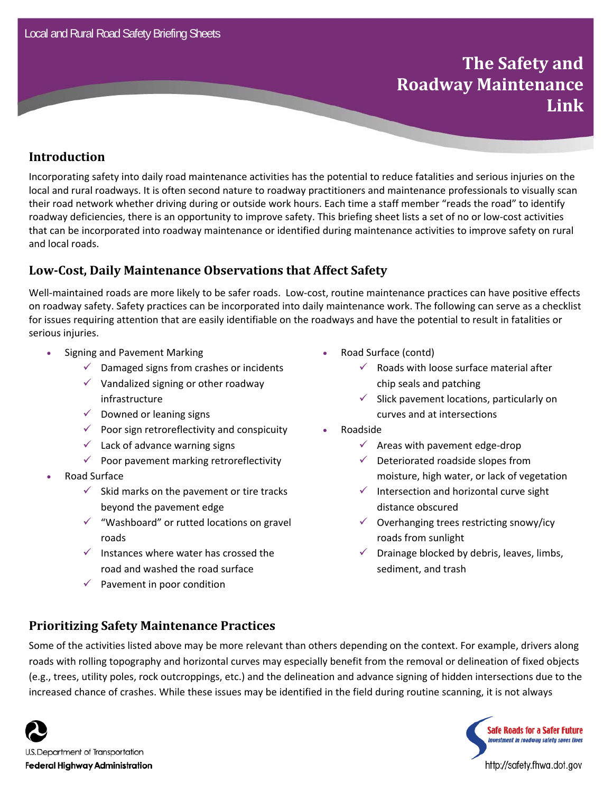# **The Safety and Roadway Maintenance Link**

### **Introduction**

Incorporating safety into daily road maintenance activities has the potential to reduce fatalities and serious injuries on the local and rural roadways. It is often second nature to roadway practitioners and maintenance professionals to visually scan their road network whether driving during or outside work hours. Each time a staff member "reads the road" to identify roadway deficiencies, there is an opportunity to improve safety. This briefing sheet lists a set of no or low‐cost activities that can be incorporated into roadway maintenance or identified during maintenance activities to improve safety on rural and local roads.

#### **Low‐Cost, Daily Maintenance Observations that Affect Safety**

Well-maintained roads are more likely to be safer roads. Low-cost, routine maintenance practices can have positive effects on roadway safety. Safety practices can be incorporated into daily maintenance work. The following can serve as a checklist for issues requiring attention that are easily identifiable on the roadways and have the potential to result in fatalities or serious injuries.

- Signing and Pavement Marking
	- $\checkmark$  Damaged signs from crashes or incidents
	- $\checkmark$  Vandalized signing or other roadway infrastructure
	- $\checkmark$  Downed or leaning signs
	- $\checkmark$  Poor sign retroreflectivity and conspicuity
	- $\checkmark$  Lack of advance warning signs
	- $\checkmark$  Poor pavement marking retroreflectivity
- Road Surface
	- $\checkmark$  Skid marks on the pavement or tire tracks beyond the pavement edge
	- $\checkmark$  "Washboard" or rutted locations on gravel roads
	- $\checkmark$  Instances where water has crossed the road and washed the road surface
	- $\checkmark$  Pavement in poor condition
- Road Surface (contd)
	- $\checkmark$  Roads with loose surface material after chip seals and patching
	- $\checkmark$  Slick pavement locations, particularly on curves and at intersections
- Roadside
	- $\checkmark$  Areas with pavement edge-drop
	- $\checkmark$  Deteriorated roadside slopes from moisture, high water, or lack of vegetation
	- $\checkmark$  Intersection and horizontal curve sight distance obscured
	- $\checkmark$  Overhanging trees restricting snowy/icy roads from sunlight
	- $\checkmark$  Drainage blocked by debris, leaves, limbs, sediment, and trash

### **Prioritizing Safety Maintenance Practices**

Some of the activities listed above may be more relevant than others depending on the context. For example, drivers along roads with rolling topography and horizontal curves may especially benefit from the removal or delineation of fixed objects (e.g., trees, utility poles, rock outcroppings, etc.) and the delineation and advance signing of hidden intersections due to the increased chance of crashes. While these issues may be identified in the field during routine scanning, it is not always





http://safety.fhwa.dot.gov